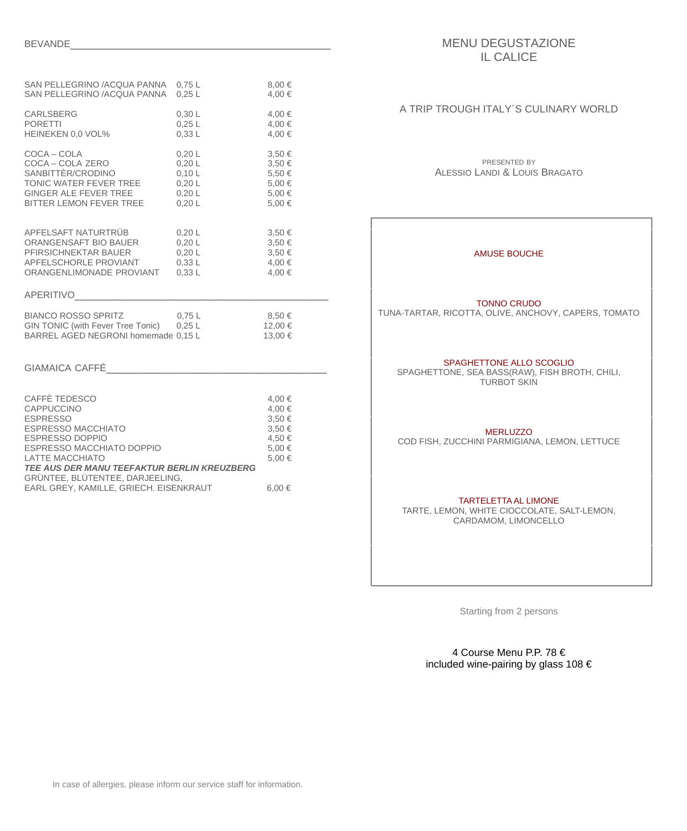| SAN PELLEGRINO /ACQUA PANNA 0,75 L<br>SAN PELLEGRINO /ACQUA PANNA 0,25 L                                                                                                                             |                                                          | 8,00€<br>4,00 €                                               |
|------------------------------------------------------------------------------------------------------------------------------------------------------------------------------------------------------|----------------------------------------------------------|---------------------------------------------------------------|
| <b>CARLSBERG</b><br><b>PORETTI</b><br>HEINEKEN 0,0 VOL%                                                                                                                                              | 0,30 L<br>$0,25$ L<br>0,33L                              | 4,00 €<br>4,00 €<br>4,00 €                                    |
| COCA - COLA<br>COCA – COLA ZERO<br>SANBITTÈR/CRODINO<br>TONIC WATER FEVER TREE<br>GINGER ALE FEVER TREE<br>BITTER LEMON FEVER TREE                                                                   | 0,20 L<br>0,20 L<br>0,10 L<br>0,20 L<br>0,20 L<br>0,20 L | 3,50€<br>3,50€<br>5,50€<br>5,00€<br>5,00€<br>5,00€            |
| APFELSAFT NATURTRÜB<br>ORANGENSAFT BIO BAUER<br>PFIRSICHNEKTAR BAUER<br>APFELSCHORLE PROVIANT<br>ORANGENLIMONADE PROVIANT<br><b>APERITIVO</b>                                                        | 0,20 L<br>0,20 L<br>0,20 L<br>0,33L<br>0,33L             | 3,50€<br>3,50€<br>3,50€<br>4,00 €<br>4,00 €                   |
| <b>BIANCO ROSSO SPRITZ</b><br>GIN TONIC (with Fever Tree Tonic) 0,25 L<br>BARREL AGED NEGRONI homemade 0,15 L                                                                                        | $0,75$ L                                                 | 8,50 €<br>12,00€<br>13,00€                                    |
| <b>GIAMAICA CAFFÉ</b>                                                                                                                                                                                |                                                          |                                                               |
| CAFFÈ TEDESCO<br>CAPPUCCINO<br><b>ESPRESSO</b><br><b>ESPRESSO MACCHIATO</b><br><b>ESPRESSO DOPPIO</b><br>ESPRESSO MACCHIATO DOPPIO<br>LATTE MACCHIATO<br>TEE AUS DER MANU TEEFAKTUR BERLIN KREUZBERG |                                                          | 4,00 €<br>4,00 €<br>3,50€<br>3,50€<br>4,50€<br>5,00€<br>5,00€ |

EARL GREY, KAMILLE, GRIECH. EISENKRAUT 6,00 €

GRÜNTEE, BLÜTENTEE, DARJEELING,

# MENU DEGUSTAZIONE IL CALICE

# A TRIP TROUGH ITALY´S CULINARY WORLD

### PRESENTED BY ALESSIO LANDI & LOUIS BRAGATO

# AMUSE BOUCHE

### TONNO CRUDO

TUNA-TARTAR, RICOTTA, OLIVE, ANCHOVY, CAPERS, TOMATO

### SPAGHETTONE ALLO SCOGLIO

SPAGHETTONE, SEA BASS(RAW), FISH BROTH, CHILI, TURBOT SKIN

#### **MERLUZZO**

COD FISH, ZUCCHINI PARMIGIANA, LEMON, LETTUCE

### TARTELETTA AL LIMONE

TARTE, LEMON, WHITE CIOCCOLATE, SALT-LEMON, CARDAMOM, LIMONCELLO

Starting from 2 persons

4 Course Menu P.P. 78 € included wine-pairing by glass 108 €